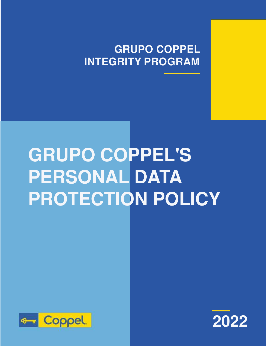## **GRUPO COPPEL INTEGRITY PROGRAM**

# **GRUPO COPPEL'S PERSONAL DATA PROTECTION POLICY**



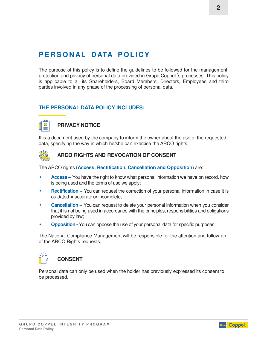### PERSONAL DATA POLICY

The purpose of this policy is to define the guidelines to be followed for the management, protection and privacy of personal data provided in Grupo Coppel´s processes. This policy is applicable to all its Shareholders, Board Members, Directors, Employees and third parties involved in any phase of the processing of personal data.

#### **THE PERSONAL DATA POLICY INCLUDES:**

#### **PRIVACY NOTICE**

It is a document used by the company to inform the owner about the use of the requested data, specifying the way in which he/she can exercise the ARCO rights.



#### **ARCO RIGHTS AND REVOCATION OF CONSENT**

The ARCO rights **(Access, Rectification, Cancellation and Opposition)** are:

- **Access –** You have the right to know what personal information we have on record, how is being used and the terms of use we apply;
- **Rectification** You can request the correction of your personal information in case it is outdated, inaccurate or incomplete;
- **Cancellation –** You can request to delete your personal information when you consider that it is not being used in accordance with the principles, responsibilities and obligations provided by law;
- **Opposition -** You can oppose the use of your personal data for specific purposes.

The National Compliance Management will be responsible for the attention and follow-up of the ARCO Rights requests.



#### **CONSENT**

Personal data can only be used when the holder has previously expressed its consent to be processed.